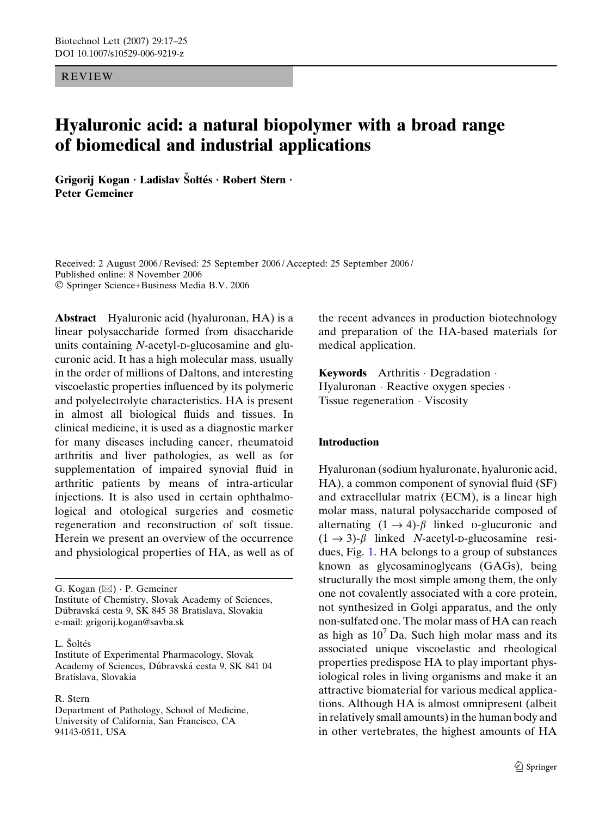**REVIEW** 

# Hyaluronic acid: a natural biopolymer with a broad range of biomedical and industrial applications

Grigorij Kogan · Ladislav Šoltés · Robert Stern · Peter Gemeiner

Received: 2 August 2006 / Revised: 25 September 2006 / Accepted: 25 September 2006 / Published online: 8 November 2006 Springer Science+Business Media B.V. 2006

Abstract Hyaluronic acid (hyaluronan, HA) is a linear polysaccharide formed from disaccharide units containing N-acetyl-D-glucosamine and glucuronic acid. It has a high molecular mass, usually in the order of millions of Daltons, and interesting viscoelastic properties influenced by its polymeric and polyelectrolyte characteristics. HA is present in almost all biological fluids and tissues. In clinical medicine, it is used as a diagnostic marker for many diseases including cancer, rheumatoid arthritis and liver pathologies, as well as for supplementation of impaired synovial fluid in arthritic patients by means of intra-articular injections. It is also used in certain ophthalmological and otological surgeries and cosmetic regeneration and reconstruction of soft tissue. Herein we present an overview of the occurrence and physiological properties of HA, as well as of

G. Kogan (&) P. Gemeiner Institute of Chemistry, Slovak Academy of Sciences, Dúbravská cesta 9, SK 845 38 Bratislava, Slovakia e-mail: grigorij.kogan@savba.sk

L. Soltés

Institute of Experimental Pharmacology, Slovak Academy of Sciences, Dúbravská cesta 9, SK 841 04 Bratislava, Slovakia

R. Stern

the recent advances in production biotechnology and preparation of the HA-based materials for medical application.

Keywords Arthritis Degradation . Hyaluronan · Reactive oxygen species · Tissue regeneration · Viscosity

## Introduction

Hyaluronan (sodium hyaluronate, hyaluronic acid, HA), a common component of synovial fluid (SF) and extracellular matrix (ECM), is a linear high molar mass, natural polysaccharide composed of alternating  $(1 \rightarrow 4)$ - $\beta$  linked D-glucuronic and  $(1 \rightarrow 3)$ - $\beta$  linked N-acetyl-D-glucosamine residues, Fig. [1.](#page-1-0) HA belongs to a group of substances known as glycosaminoglycans (GAGs), being structurally the most simple among them, the only one not covalently associated with a core protein, not synthesized in Golgi apparatus, and the only non-sulfated one. The molar mass of HA can reach as high as  $10^7$  Da. Such high molar mass and its associated unique viscoelastic and rheological properties predispose HA to play important physiological roles in living organisms and make it an attractive biomaterial for various medical applications. Although HA is almost omnipresent (albeit in relatively small amounts) in the human body and in other vertebrates, the highest amounts of HA

Department of Pathology, School of Medicine, University of California, San Francisco, CA 94143-0511, USA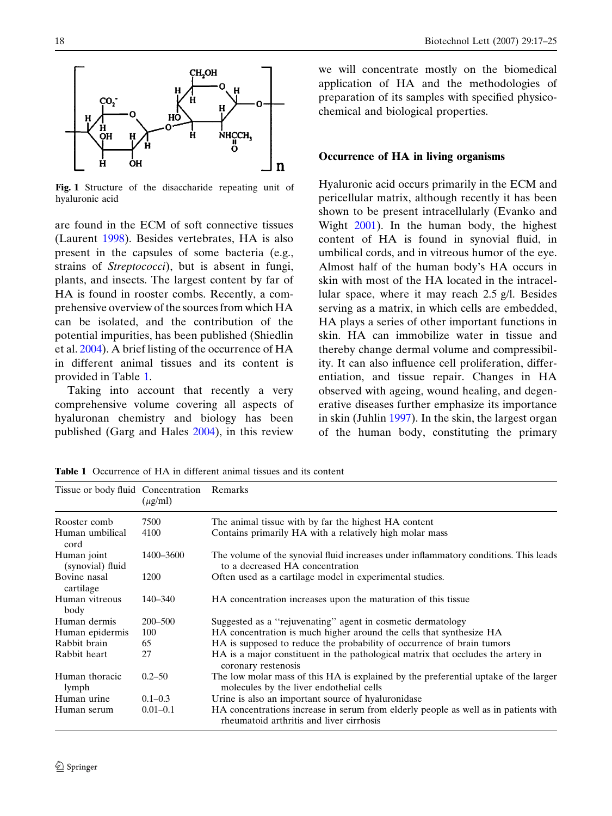<span id="page-1-0"></span>

Fig. 1 Structure of the disaccharide repeating unit of hyaluronic acid

are found in the ECM of soft connective tissues (Laurent [1998\)](#page-7-0). Besides vertebrates, HA is also present in the capsules of some bacteria (e.g., strains of Streptococci), but is absent in fungi, plants, and insects. The largest content by far of HA is found in rooster combs. Recently, a comprehensive overview of the sources from which HA can be isolated, and the contribution of the potential impurities, has been published (Shiedlin et al. [2004](#page-7-0)). A brief listing of the occurrence of HA in different animal tissues and its content is provided in Table 1.

Taking into account that recently a very comprehensive volume covering all aspects of hyaluronan chemistry and biology has been published (Garg and Hales [2004](#page-7-0)), in this review we will concentrate mostly on the biomedical application of HA and the methodologies of preparation of its samples with specified physicochemical and biological properties.

#### Occurrence of HA in living organisms

Hyaluronic acid occurs primarily in the ECM and pericellular matrix, although recently it has been shown to be present intracellularly (Evanko and Wight [2001](#page-7-0)). In the human body, the highest content of HA is found in synovial fluid, in umbilical cords, and in vitreous humor of the eye. Almost half of the human body's HA occurs in skin with most of the HA located in the intracellular space, where it may reach 2.5 g/l. Besides serving as a matrix, in which cells are embedded, HA plays a series of other important functions in skin. HA can immobilize water in tissue and thereby change dermal volume and compressibility. It can also influence cell proliferation, differentiation, and tissue repair. Changes in HA observed with ageing, wound healing, and degenerative diseases further emphasize its importance in skin (Juhlin [1997](#page-7-0)). In the skin, the largest organ of the human body, constituting the primary

Table 1 Occurrence of HA in different animal tissues and its content

| Tissue or body fluid Concentration | $(\mu g/ml)$ | Remarks                                                                                                                         |
|------------------------------------|--------------|---------------------------------------------------------------------------------------------------------------------------------|
| Rooster comb                       | 7500         | The animal tissue with by far the highest HA content                                                                            |
| Human umbilical<br>cord            | 4100         | Contains primarily HA with a relatively high molar mass                                                                         |
| Human joint<br>(synovial) fluid    | 1400-3600    | The volume of the synovial fluid increases under inflammatory conditions. This leads<br>to a decreased HA concentration         |
| Bovine nasal<br>cartilage          | 1200         | Often used as a cartilage model in experimental studies.                                                                        |
| Human vitreous<br>body             | 140–340      | HA concentration increases upon the maturation of this tissue.                                                                  |
| Human dermis                       | $200 - 500$  | Suggested as a "rejuvenating" agent in cosmetic dermatology                                                                     |
| Human epidermis                    | 100          | HA concentration is much higher around the cells that synthesize HA                                                             |
| Rabbit brain                       | 65           | HA is supposed to reduce the probability of occurrence of brain tumors                                                          |
| Rabbit heart                       | 27           | HA is a major constituent in the pathological matrix that occludes the artery in<br>coronary restenosis                         |
| Human thoracic<br>lymph            | $0.2 - 50$   | The low molar mass of this HA is explained by the preferential uptake of the larger<br>molecules by the liver endothelial cells |
| Human urine                        | $0.1 - 0.3$  | Urine is also an important source of hyaluronidase                                                                              |
| Human serum                        | $0.01 - 0.1$ | HA concentrations increase in serum from elderly people as well as in patients with<br>rheumatoid arthritis and liver cirrhosis |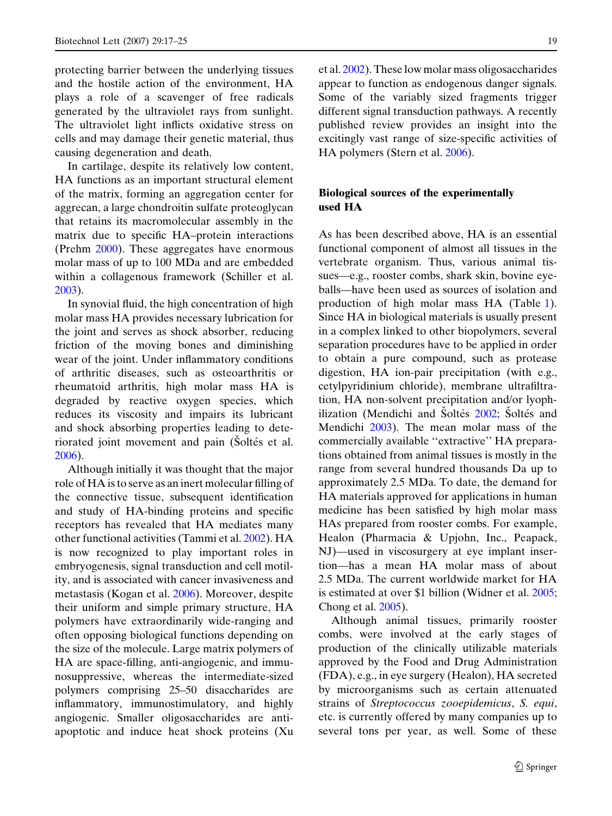protecting barrier between the underlying tissues and the hostile action of the environment, HA plays a role of a scavenger of free radicals generated by the ultraviolet rays from sunlight. The ultraviolet light inflicts oxidative stress on cells and may damage their genetic material, thus causing degeneration and death.

In cartilage, despite its relatively low content, HA functions as an important structural element of the matrix, forming an aggregation center for aggrecan, a large chondroitin sulfate proteoglycan that retains its macromolecular assembly in the matrix due to specific HA–protein interactions (Prehm [2000](#page-7-0)). These aggregates have enormous molar mass of up to 100 MDa and are embedded within a collagenous framework (Schiller et al. [2003\)](#page-7-0).

In synovial fluid, the high concentration of high molar mass HA provides necessary lubrication for the joint and serves as shock absorber, reducing friction of the moving bones and diminishing wear of the joint. Under inflammatory conditions of arthritic diseases, such as osteoarthritis or rheumatoid arthritis, high molar mass HA is degraded by reactive oxygen species, which reduces its viscosity and impairs its lubricant and shock absorbing properties leading to deteriorated joint movement and pain (Soltés et al. [2006\)](#page-7-0).

Although initially it was thought that the major role of HA is to serve as an inert molecular filling of the connective tissue, subsequent identification and study of HA-binding proteins and specific receptors has revealed that HA mediates many other functional activities (Tammi et al. [2002](#page-8-0)). HA is now recognized to play important roles in embryogenesis, signal transduction and cell motility, and is associated with cancer invasiveness and metastasis (Kogan et al. [2006](#page-7-0)). Moreover, despite their uniform and simple primary structure, HA polymers have extraordinarily wide-ranging and often opposing biological functions depending on the size of the molecule. Large matrix polymers of HA are space-filling, anti-angiogenic, and immunosuppressive, whereas the intermediate-sized polymers comprising 25–50 disaccharides are inflammatory, immunostimulatory, and highly angiogenic. Smaller oligosaccharides are antiapoptotic and induce heat shock proteins (Xu

et al. [2002\)](#page-8-0). These low molar mass oligosaccharides appear to function as endogenous danger signals. Some of the variably sized fragments trigger different signal transduction pathways. A recently published review provides an insight into the excitingly vast range of size-specific activities of HA polymers (Stern et al. [2006](#page-8-0)).

# Biological sources of the experimentally used HA

As has been described above, HA is an essential functional component of almost all tissues in the vertebrate organism. Thus, various animal tissues—e.g., rooster combs, shark skin, bovine eyeballs—have been used as sources of isolation and production of high molar mass HA (Table [1\)](#page-1-0). Since HA in biological materials is usually present in a complex linked to other biopolymers, several separation procedures have to be applied in order to obtain a pure compound, such as protease digestion, HA ion-pair precipitation (with e.g., cetylpyridinium chloride), membrane ultrafiltration, HA non-solvent precipitation and/or lyoph-ilization (Mendichi and Soltés [2002;](#page-7-0) Soltés and Mendichi [2003](#page-7-0)). The mean molar mass of the commercially available ''extractive'' HA preparations obtained from animal tissues is mostly in the range from several hundred thousands Da up to approximately 2.5 MDa. To date, the demand for HA materials approved for applications in human medicine has been satisfied by high molar mass HAs prepared from rooster combs. For example, Healon (Pharmacia & Upjohn, Inc., Peapack, NJ)—used in viscosurgery at eye implant insertion—has a mean HA molar mass of about 2.5 MDa. The current worldwide market for HA is estimated at over \$1 billion (Widner et al. [2005;](#page-8-0) Chong et al. [2005](#page-7-0)).

Although animal tissues, primarily rooster combs, were involved at the early stages of production of the clinically utilizable materials approved by the Food and Drug Administration (FDA), e.g., in eye surgery (Healon), HA secreted by microorganisms such as certain attenuated strains of Streptococcus zooepidemicus, S. equi, etc. is currently offered by many companies up to several tons per year, as well. Some of these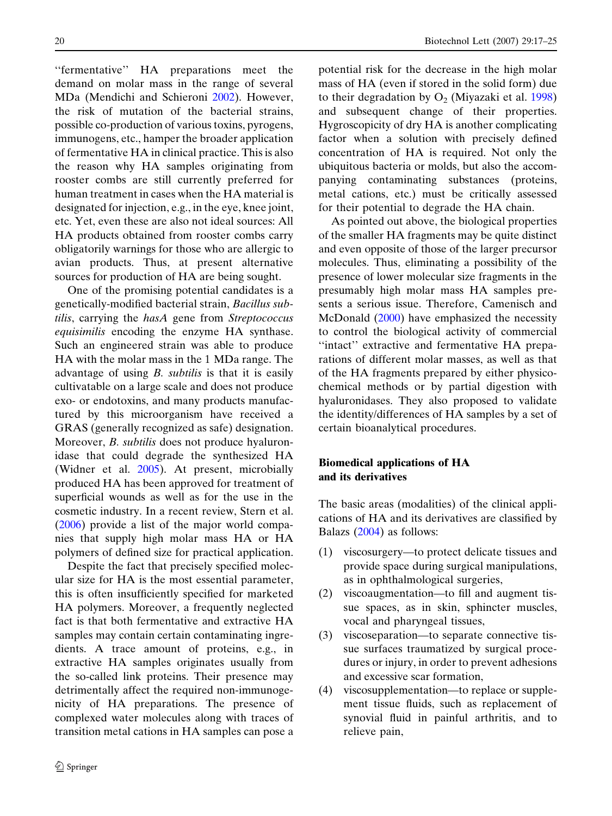''fermentative'' HA preparations meet the demand on molar mass in the range of several MDa (Mendichi and Schieroni [2002\)](#page-7-0). However, the risk of mutation of the bacterial strains, possible co-production of various toxins, pyrogens, immunogens, etc., hamper the broader application of fermentative HA in clinical practice. This is also the reason why HA samples originating from rooster combs are still currently preferred for human treatment in cases when the HA material is designated for injection, e.g., in the eye, knee joint, etc. Yet, even these are also not ideal sources: All HA products obtained from rooster combs carry obligatorily warnings for those who are allergic to avian products. Thus, at present alternative sources for production of HA are being sought.

One of the promising potential candidates is a genetically-modified bacterial strain, Bacillus subtilis, carrying the hasA gene from Streptococcus equisimilis encoding the enzyme HA synthase. Such an engineered strain was able to produce HA with the molar mass in the 1 MDa range. The advantage of using  $B$ . subtilis is that it is easily cultivatable on a large scale and does not produce exo- or endotoxins, and many products manufactured by this microorganism have received a GRAS (generally recognized as safe) designation. Moreover, B. subtilis does not produce hyaluronidase that could degrade the synthesized HA (Widner et al. [2005](#page-8-0)). At present, microbially produced HA has been approved for treatment of superficial wounds as well as for the use in the cosmetic industry. In a recent review, Stern et al. [\(2006](#page-8-0)) provide a list of the major world companies that supply high molar mass HA or HA polymers of defined size for practical application.

Despite the fact that precisely specified molecular size for HA is the most essential parameter, this is often insufficiently specified for marketed HA polymers. Moreover, a frequently neglected fact is that both fermentative and extractive HA samples may contain certain contaminating ingredients. A trace amount of proteins, e.g., in extractive HA samples originates usually from the so-called link proteins. Their presence may detrimentally affect the required non-immunogenicity of HA preparations. The presence of complexed water molecules along with traces of transition metal cations in HA samples can pose a

20 Biotechnol Lett (2007) 29:17–25

potential risk for the decrease in the high molar mass of HA (even if stored in the solid form) due to their degradation by  $O_2$  (Miyazaki et al. [1998](#page-7-0)) and subsequent change of their properties. Hygroscopicity of dry HA is another complicating factor when a solution with precisely defined concentration of HA is required. Not only the ubiquitous bacteria or molds, but also the accompanying contaminating substances (proteins, metal cations, etc.) must be critically assessed for their potential to degrade the HA chain.

As pointed out above, the biological properties of the smaller HA fragments may be quite distinct and even opposite of those of the larger precursor molecules. Thus, eliminating a possibility of the presence of lower molecular size fragments in the presumably high molar mass HA samples presents a serious issue. Therefore, Camenisch and McDonald ([2000\)](#page-7-0) have emphasized the necessity to control the biological activity of commercial ''intact'' extractive and fermentative HA preparations of different molar masses, as well as that of the HA fragments prepared by either physicochemical methods or by partial digestion with hyaluronidases. They also proposed to validate the identity/differences of HA samples by a set of certain bioanalytical procedures.

# Biomedical applications of HA and its derivatives

The basic areas (modalities) of the clinical applications of HA and its derivatives are classified by Balazs [\(2004](#page-7-0)) as follows:

- (1) viscosurgery—to protect delicate tissues and provide space during surgical manipulations, as in ophthalmological surgeries,
- (2) viscoaugmentation—to fill and augment tissue spaces, as in skin, sphincter muscles, vocal and pharyngeal tissues,
- (3) viscoseparation—to separate connective tissue surfaces traumatized by surgical procedures or injury, in order to prevent adhesions and excessive scar formation,
- (4) viscosupplementation—to replace or supplement tissue fluids, such as replacement of synovial fluid in painful arthritis, and to relieve pain,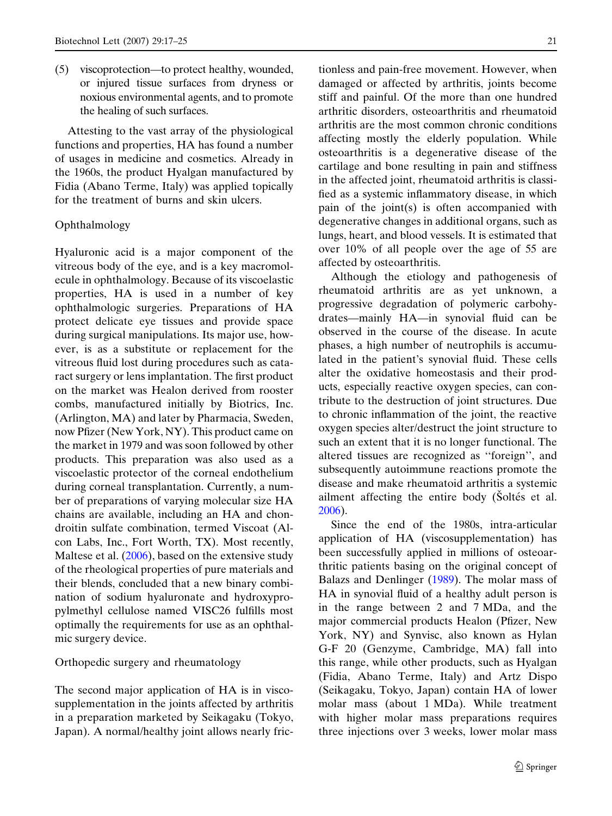(5) viscoprotection—to protect healthy, wounded, or injured tissue surfaces from dryness or noxious environmental agents, and to promote the healing of such surfaces.

Attesting to the vast array of the physiological functions and properties, HA has found a number of usages in medicine and cosmetics. Already in the 1960s, the product Hyalgan manufactured by Fidia (Abano Terme, Italy) was applied topically for the treatment of burns and skin ulcers.

#### Ophthalmology

Hyaluronic acid is a major component of the vitreous body of the eye, and is a key macromolecule in ophthalmology. Because of its viscoelastic properties, HA is used in a number of key ophthalmologic surgeries. Preparations of HA protect delicate eye tissues and provide space during surgical manipulations. Its major use, however, is as a substitute or replacement for the vitreous fluid lost during procedures such as cataract surgery or lens implantation. The first product on the market was Healon derived from rooster combs, manufactured initially by Biotrics, Inc. (Arlington, MA) and later by Pharmacia, Sweden, now Pfizer (New York, NY). This product came on the market in 1979 and was soon followed by other products. This preparation was also used as a viscoelastic protector of the corneal endothelium during corneal transplantation. Currently, a number of preparations of varying molecular size HA chains are available, including an HA and chondroitin sulfate combination, termed Viscoat (Alcon Labs, Inc., Fort Worth, TX). Most recently, Maltese et al. ([2006\)](#page-7-0), based on the extensive study of the rheological properties of pure materials and their blends, concluded that a new binary combination of sodium hyaluronate and hydroxypropylmethyl cellulose named VISC26 fulfills most optimally the requirements for use as an ophthalmic surgery device.

## Orthopedic surgery and rheumatology

The second major application of HA is in viscosupplementation in the joints affected by arthritis in a preparation marketed by Seikagaku (Tokyo, Japan). A normal/healthy joint allows nearly frictionless and pain-free movement. However, when damaged or affected by arthritis, joints become stiff and painful. Of the more than one hundred arthritic disorders, osteoarthritis and rheumatoid arthritis are the most common chronic conditions affecting mostly the elderly population. While osteoarthritis is a degenerative disease of the cartilage and bone resulting in pain and stiffness in the affected joint, rheumatoid arthritis is classified as a systemic inflammatory disease, in which pain of the joint(s) is often accompanied with degenerative changes in additional organs, such as lungs, heart, and blood vessels. It is estimated that over 10% of all people over the age of 55 are affected by osteoarthritis.

Although the etiology and pathogenesis of rheumatoid arthritis are as yet unknown, a progressive degradation of polymeric carbohydrates—mainly HA—in synovial fluid can be observed in the course of the disease. In acute phases, a high number of neutrophils is accumulated in the patient's synovial fluid. These cells alter the oxidative homeostasis and their products, especially reactive oxygen species, can contribute to the destruction of joint structures. Due to chronic inflammation of the joint, the reactive oxygen species alter/destruct the joint structure to such an extent that it is no longer functional. The altered tissues are recognized as ''foreign'', and subsequently autoimmune reactions promote the disease and make rheumatoid arthritis a systemic ailment affecting the entire body (Soltés et al. [2006\)](#page-7-0).

Since the end of the 1980s, intra-articular application of HA (viscosupplementation) has been successfully applied in millions of osteoarthritic patients basing on the original concept of Balazs and Denlinger [\(1989](#page-7-0)). The molar mass of HA in synovial fluid of a healthy adult person is in the range between 2 and 7 MDa, and the major commercial products Healon (Pfizer, New York, NY) and Synvisc, also known as Hylan G-F 20 (Genzyme, Cambridge, MA) fall into this range, while other products, such as Hyalgan (Fidia, Abano Terme, Italy) and Artz Dispo (Seikagaku, Tokyo, Japan) contain HA of lower molar mass (about 1 MDa). While treatment with higher molar mass preparations requires three injections over 3 weeks, lower molar mass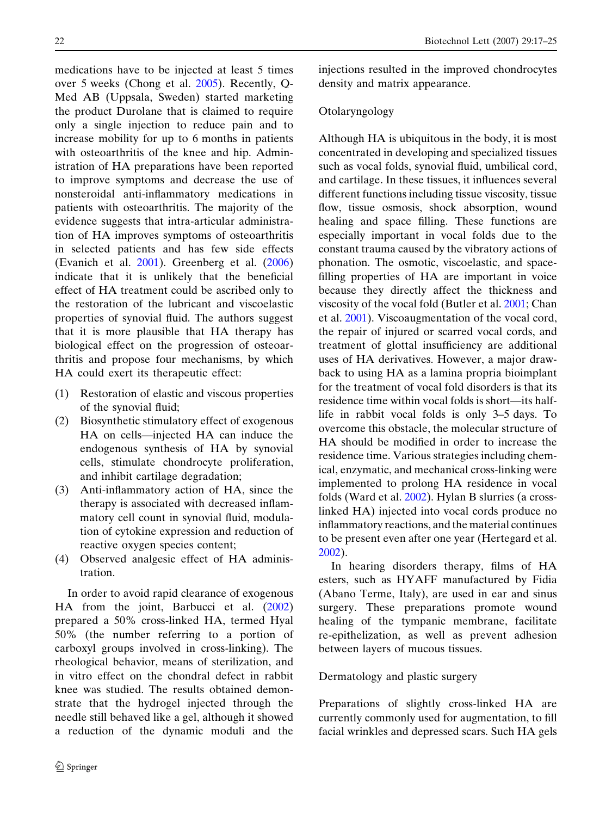medications have to be injected at least 5 times over 5 weeks (Chong et al. [2005\)](#page-7-0). Recently, Q-Med AB (Uppsala, Sweden) started marketing the product Durolane that is claimed to require only a single injection to reduce pain and to increase mobility for up to 6 months in patients with osteoarthritis of the knee and hip. Administration of HA preparations have been reported to improve symptoms and decrease the use of nonsteroidal anti-inflammatory medications in patients with osteoarthritis. The majority of the evidence suggests that intra-articular administration of HA improves symptoms of osteoarthritis in selected patients and has few side effects (Evanich et al. [2001\)](#page-7-0). Greenberg et al. [\(2006](#page-7-0)) indicate that it is unlikely that the beneficial effect of HA treatment could be ascribed only to the restoration of the lubricant and viscoelastic properties of synovial fluid. The authors suggest that it is more plausible that HA therapy has biological effect on the progression of osteoarthritis and propose four mechanisms, by which HA could exert its therapeutic effect:

- (1) Restoration of elastic and viscous properties of the synovial fluid;
- (2) Biosynthetic stimulatory effect of exogenous HA on cells—injected HA can induce the endogenous synthesis of HA by synovial cells, stimulate chondrocyte proliferation, and inhibit cartilage degradation;
- (3) Anti-inflammatory action of HA, since the therapy is associated with decreased inflammatory cell count in synovial fluid, modulation of cytokine expression and reduction of reactive oxygen species content;
- (4) Observed analgesic effect of HA administration.

In order to avoid rapid clearance of exogenous HA from the joint, Barbucci et al. [\(2002](#page-7-0)) prepared a 50% cross-linked HA, termed Hyal 50% (the number referring to a portion of carboxyl groups involved in cross-linking). The rheological behavior, means of sterilization, and in vitro effect on the chondral defect in rabbit knee was studied. The results obtained demonstrate that the hydrogel injected through the needle still behaved like a gel, although it showed a reduction of the dynamic moduli and the

injections resulted in the improved chondrocytes density and matrix appearance.

# Otolaryngology

Although HA is ubiquitous in the body, it is most concentrated in developing and specialized tissues such as vocal folds, synovial fluid, umbilical cord, and cartilage. In these tissues, it influences several different functions including tissue viscosity, tissue flow, tissue osmosis, shock absorption, wound healing and space filling. These functions are especially important in vocal folds due to the constant trauma caused by the vibratory actions of phonation. The osmotic, viscoelastic, and spacefilling properties of HA are important in voice because they directly affect the thickness and viscosity of the vocal fold (Butler et al. [2001](#page-7-0); Chan et al. [2001\)](#page-7-0). Viscoaugmentation of the vocal cord, the repair of injured or scarred vocal cords, and treatment of glottal insufficiency are additional uses of HA derivatives. However, a major drawback to using HA as a lamina propria bioimplant for the treatment of vocal fold disorders is that its residence time within vocal folds is short—its halflife in rabbit vocal folds is only 3–5 days. To overcome this obstacle, the molecular structure of HA should be modified in order to increase the residence time. Various strategies including chemical, enzymatic, and mechanical cross-linking were implemented to prolong HA residence in vocal folds (Ward et al. [2002](#page-8-0)). Hylan B slurries (a crosslinked HA) injected into vocal cords produce no inflammatory reactions, and the material continues to be present even after one year (Hertegard et al. [2002\)](#page-7-0).

In hearing disorders therapy, films of HA esters, such as HYAFF manufactured by Fidia (Abano Terme, Italy), are used in ear and sinus surgery. These preparations promote wound healing of the tympanic membrane, facilitate re-epithelization, as well as prevent adhesion between layers of mucous tissues.

# Dermatology and plastic surgery

Preparations of slightly cross-linked HA are currently commonly used for augmentation, to fill facial wrinkles and depressed scars. Such HA gels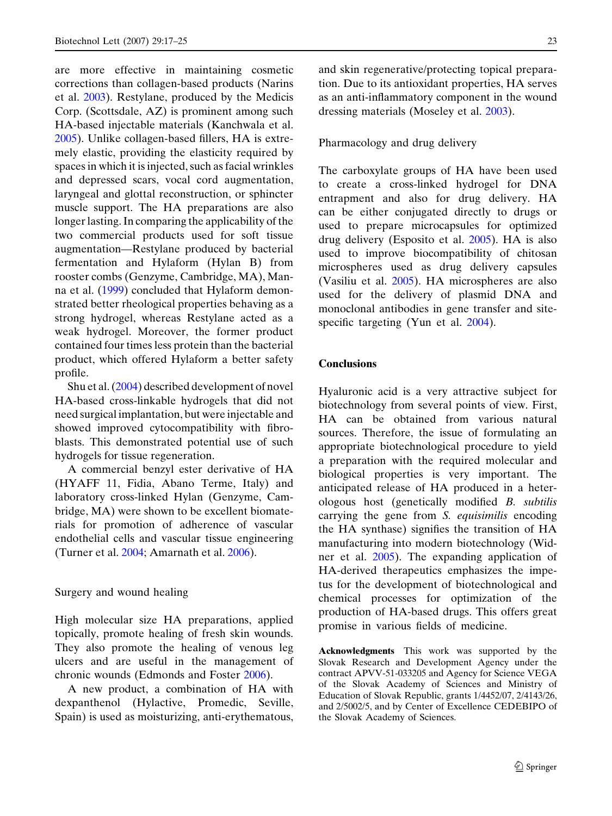are more effective in maintaining cosmetic corrections than collagen-based products (Narins et al. [2003\)](#page-7-0). Restylane, produced by the Medicis Corp. (Scottsdale, AZ) is prominent among such HA-based injectable materials (Kanchwala et al. [2005\)](#page-7-0). Unlike collagen-based fillers, HA is extremely elastic, providing the elasticity required by spaces in which it is injected, such as facial wrinkles and depressed scars, vocal cord augmentation, laryngeal and glottal reconstruction, or sphincter muscle support. The HA preparations are also longer lasting. In comparing the applicability of the two commercial products used for soft tissue augmentation—Restylane produced by bacterial fermentation and Hylaform (Hylan B) from rooster combs (Genzyme, Cambridge, MA), Manna et al. ([1999\)](#page-7-0) concluded that Hylaform demonstrated better rheological properties behaving as a strong hydrogel, whereas Restylane acted as a weak hydrogel. Moreover, the former product contained four times less protein than the bacterial product, which offered Hylaform a better safety profile.

Shu et al. ([2004](#page-7-0)) described development of novel HA-based cross-linkable hydrogels that did not need surgical implantation, but were injectable and showed improved cytocompatibility with fibroblasts. This demonstrated potential use of such hydrogels for tissue regeneration.

A commercial benzyl ester derivative of HA (HYAFF 11, Fidia, Abano Terme, Italy) and laboratory cross-linked Hylan (Genzyme, Cambridge, MA) were shown to be excellent biomaterials for promotion of adherence of vascular endothelial cells and vascular tissue engineering (Turner et al. [2004;](#page-8-0) Amarnath et al. [2006\)](#page-7-0).

#### Surgery and wound healing

High molecular size HA preparations, applied topically, promote healing of fresh skin wounds. They also promote the healing of venous leg ulcers and are useful in the management of chronic wounds (Edmonds and Foster [2006](#page-7-0)).

A new product, a combination of HA with dexpanthenol (Hylactive, Promedic, Seville, Spain) is used as moisturizing, anti-erythematous,

and skin regenerative/protecting topical preparation. Due to its antioxidant properties, HA serves as an anti-inflammatory component in the wound dressing materials (Moseley et al. [2003\)](#page-7-0).

## Pharmacology and drug delivery

The carboxylate groups of HA have been used to create a cross-linked hydrogel for DNA entrapment and also for drug delivery. HA can be either conjugated directly to drugs or used to prepare microcapsules for optimized drug delivery (Esposito et al. [2005\)](#page-7-0). HA is also used to improve biocompatibility of chitosan microspheres used as drug delivery capsules (Vasiliu et al. [2005](#page-8-0)). HA microspheres are also used for the delivery of plasmid DNA and monoclonal antibodies in gene transfer and site-specific targeting (Yun et al. [2004\)](#page-8-0).

#### **Conclusions**

Hyaluronic acid is a very attractive subject for biotechnology from several points of view. First, HA can be obtained from various natural sources. Therefore, the issue of formulating an appropriate biotechnological procedure to yield a preparation with the required molecular and biological properties is very important. The anticipated release of HA produced in a heterologous host (genetically modified B. subtilis carrying the gene from S. equisimilis encoding the HA synthase) signifies the transition of HA manufacturing into modern biotechnology (Widner et al. [2005\)](#page-8-0). The expanding application of HA-derived therapeutics emphasizes the impetus for the development of biotechnological and chemical processes for optimization of the production of HA-based drugs. This offers great promise in various fields of medicine.

Acknowledgments This work was supported by the Slovak Research and Development Agency under the contract APVV-51-033205 and Agency for Science VEGA of the Slovak Academy of Sciences and Ministry of Education of Slovak Republic, grants 1/4452/07, 2/4143/26, and 2/5002/5, and by Center of Excellence CEDEBIPO of the Slovak Academy of Sciences.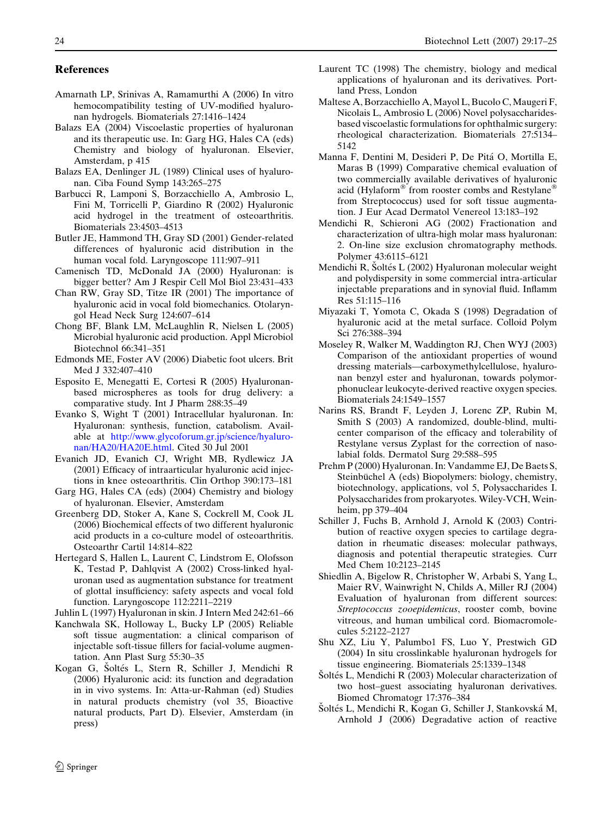## <span id="page-7-0"></span>References

- Amarnath LP, Srinivas A, Ramamurthi A (2006) In vitro hemocompatibility testing of UV-modified hyaluronan hydrogels. Biomaterials 27:1416–1424
- Balazs EA (2004) Viscoelastic properties of hyaluronan and its therapeutic use. In: Garg HG, Hales CA (eds) Chemistry and biology of hyaluronan. Elsevier, Amsterdam, p 415
- Balazs EA, Denlinger JL (1989) Clinical uses of hyaluronan. Ciba Found Symp 143:265–275
- Barbucci R, Lamponi S, Borzacchiello A, Ambrosio L, Fini M, Torricelli P, Giardino R (2002) Hyaluronic acid hydrogel in the treatment of osteoarthritis. Biomaterials 23:4503–4513
- Butler JE, Hammond TH, Gray SD (2001) Gender-related differences of hyaluronic acid distribution in the human vocal fold. Laryngoscope 111:907–911
- Camenisch TD, McDonald JA (2000) Hyaluronan: is bigger better? Am J Respir Cell Mol Biol 23:431–433
- Chan RW, Gray SD, Titze IR (2001) The importance of hyaluronic acid in vocal fold biomechanics. Otolaryngol Head Neck Surg 124:607–614
- Chong BF, Blank LM, McLaughlin R, Nielsen L (2005) Microbial hyaluronic acid production. Appl Microbiol Biotechnol 66:341–351
- Edmonds ME, Foster AV (2006) Diabetic foot ulcers. Brit Med J 332:407–410
- Esposito E, Menegatti E, Cortesi R (2005) Hyaluronanbased microspheres as tools for drug delivery: a comparative study. Int J Pharm 288:35–49
- Evanko S, Wight T (2001) Intracellular hyaluronan. In: Hyaluronan: synthesis, function, catabolism. Available at http://www.glycoforum.gr.jp/science/hyaluronan/HA20/HA20E.html. Cited 30 Jul 2001
- Evanich JD, Evanich CJ, Wright MB, Rydlewicz JA (2001) Efficacy of intraarticular hyaluronic acid injections in knee osteoarthritis. Clin Orthop 390:173–181
- Garg HG, Hales CA (eds) (2004) Chemistry and biology of hyaluronan. Elsevier, Amsterdam
- Greenberg DD, Stoker A, Kane S, Cockrell M, Cook JL (2006) Biochemical effects of two different hyaluronic acid products in a co-culture model of osteoarthritis. Osteoarthr Cartil 14:814–822
- Hertegard S, Hallen L, Laurent C, Lindstrom E, Olofsson K, Testad P, Dahlqvist A (2002) Cross-linked hyaluronan used as augmentation substance for treatment of glottal insufficiency: safety aspects and vocal fold function. Laryngoscope 112:2211–2219

Juhlin L (1997) Hyaluronan in skin. J Intern Med 242:61–66

- Kanchwala SK, Holloway L, Bucky LP (2005) Reliable soft tissue augmentation: a clinical comparison of injectable soft-tissue fillers for facial-volume augmentation. Ann Plast Surg 55:30–35
- Kogan G, Soltés L, Stern R, Schiller J, Mendichi R (2006) Hyaluronic acid: its function and degradation in in vivo systems. In: Atta-ur-Rahman (ed) Studies in natural products chemistry (vol 35, Bioactive natural products, Part D). Elsevier, Amsterdam (in press)
- Laurent TC (1998) The chemistry, biology and medical applications of hyaluronan and its derivatives. Portland Press, London
- Maltese A, Borzacchiello A, Mayol L, Bucolo C, Maugeri F, Nicolais L, Ambrosio L (2006) Novel polysaccharidesbased viscoelastic formulations for ophthalmic surgery: rheological characterization. Biomaterials 27:5134– 5142
- Manna F, Dentini M, Desideri P, De Pita´ O, Mortilla E, Maras B (1999) Comparative chemical evaluation of two commercially available derivatives of hyaluronic acid (Hylaform® from rooster combs and Restylane® from Streptococcus) used for soft tissue augmentation. J Eur Acad Dermatol Venereol 13:183–192
- Mendichi R, Schieroni AG (2002) Fractionation and characterization of ultra-high molar mass hyaluronan: 2. On-line size exclusion chromatography methods. Polymer 43:6115–6121
- Mendichi R, Soltés L (2002) Hyaluronan molecular weight and polydispersity in some commercial intra-articular injectable preparations and in synovial fluid. Inflamm Res 51:115–116
- Miyazaki T, Yomota C, Okada S (1998) Degradation of hyaluronic acid at the metal surface. Colloid Polym Sci 276:388–394
- Moseley R, Walker M, Waddington RJ, Chen WYJ (2003) Comparison of the antioxidant properties of wound dressing materials—carboxymethylcellulose, hyaluronan benzyl ester and hyaluronan, towards polymorphonuclear leukocyte-derived reactive oxygen species. Biomaterials 24:1549–1557
- Narins RS, Brandt F, Leyden J, Lorenc ZP, Rubin M, Smith S (2003) A randomized, double-blind, multicenter comparison of the efficacy and tolerability of Restylane versus Zyplast for the correction of nasolabial folds. Dermatol Surg 29:588–595
- Prehm P (2000) Hyaluronan. In: Vandamme EJ, De Baets S, Steinbüchel A (eds) Biopolymers: biology, chemistry, biotechnology, applications, vol 5, Polysaccharides I. Polysaccharides from prokaryotes. Wiley-VCH, Weinheim, pp 379–404
- Schiller J, Fuchs B, Arnhold J, Arnold K (2003) Contribution of reactive oxygen species to cartilage degradation in rheumatic diseases: molecular pathways, diagnosis and potential therapeutic strategies. Curr Med Chem 10:2123–2145
- Shiedlin A, Bigelow R, Christopher W, Arbabi S, Yang L, Maier RV, Wainwright N, Childs A, Miller RJ (2004) Evaluation of hyaluronan from different sources: Streptococcus zooepidemicus, rooster comb, bovine vitreous, and human umbilical cord. Biomacromolecules 5:2122–2127
- Shu XZ, Liu Y, Palumbo1 FS, Luo Y, Prestwich GD (2004) In situ crosslinkable hyaluronan hydrogels for tissue engineering. Biomaterials 25:1339–1348
- Soltés L, Mendichi R (2003) Molecular characterization of two host–guest associating hyaluronan derivatives. Biomed Chromatogr 17:376–384
- Soltés L, Mendichi R, Kogan G, Schiller J, Stankovská M, Arnhold J (2006) Degradative action of reactive